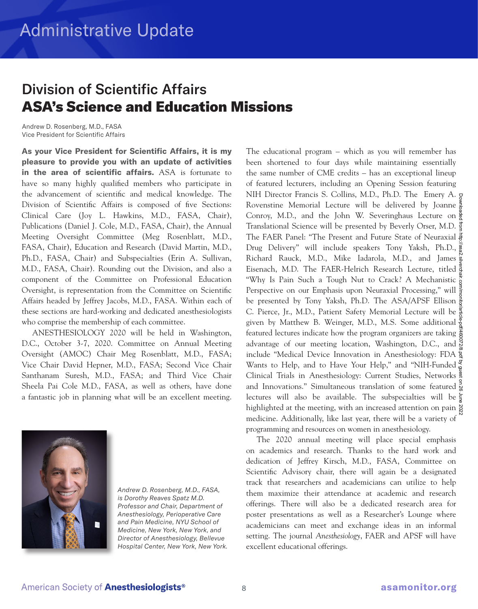## Division of Scientific Affairs ASA's Science and Education Missions

Andrew D. Rosenberg, M.D., FASA Vice President for Scientific Affairs

**As your Vice President for Scientific Affairs, it is my pleasure to provide you with an update of activities in the area of scientific affairs.** ASA is fortunate to have so many highly qualified members who participate in the advancement of scientific and medical knowledge. The Division of Scientific Affairs is composed of five Sections: Clinical Care (Joy L. Hawkins, M.D., FASA, Chair), Publications (Daniel J. Cole, M.D., FASA, Chair), the Annual Meeting Oversight Committee (Meg Rosenblatt, M.D., FASA, Chair), Education and Research (David Martin, M.D., Ph.D., FASA, Chair) and Subspecialties (Erin A. Sullivan, M.D., FASA, Chair). Rounding out the Division, and also a component of the Committee on Professional Education Oversight, is representation from the Committee on Scientific Affairs headed by Jeffrey Jacobs, M.D., FASA. Within each of these sections are hard-working and dedicated anesthesiologists who comprise the membership of each committee.

ANESTHESIOLOGY 2020 will be held in Washington, D.C., October 3-7, 2020. Committee on Annual Meeting Oversight (AMOC) Chair Meg Rosenblatt, M.D., FASA; Vice Chair David Hepner, M.D., FASA; Second Vice Chair Santhanam Suresh, M.D., FASA; and Third Vice Chair Sheela Pai Cole M.D., FASA, as well as others, have done a fantastic job in planning what will be an excellent meeting.



*Andrew D. Rosenberg, M.D., FASA, is Dorothy Reaves Spatz M.D. Professor and Chair, Department of Anesthesiology, Perioperative Care and Pain Medicine, NYU School of Medicine, New York, New York, and Director of Anesthesiology, Bellevue Hospital Center, New York, New York.*

The educational program – which as you will remember has been shortened to four days while maintaining essentially the same number of CME credits – has an exceptional lineup of featured lecturers, including an Opening Session featuring NIH Director Francis S. Collins, M.D., Ph.D. The Emery A. Rovenstine Memorial Lecture will be delivered by Joanne Conroy, M.D., and the John W. Severinghaus Lecture on  $\frac{5}{8}$ Translational Science will be presented by Beverly Orser, M.D. The FAER Panel: "The Present and Future State of Neuraxial Drug Delivery" will include speakers Tony Yaksh, Ph.D., Richard Rauck, M.D., Mike Iadarola, M.D., and James Eisenach, M.D. The FAER-Helrich Research Lecture, titled "Why Is Pain Such a Tough Nut to Crack? A Mechanistic Perspective on our Emphasis upon Neuraxial Processing," will be presented by Tony Yaksh, Ph.D. The ASA/APSF Ellison  $\frac{3}{6}$ C. Pierce, Jr., M.D., Patient Safety Memorial Lecture will be given by Matthew B. Weinger, M.D., M.S. Some additional  $\frac{9}{8}$ featured lectures indicate how the program organizers are taking advantage of our meeting location, Washington, D.C., and  $\frac{8}{5}$ include "Medical Device Innovation in Anesthesiology: FDA Wants to Help, and to Have Your Help," and "NIH-Funded Clinical Trials in Anesthesiology: Current Studies, Networks and Innovations." Simultaneous translation of some featured lectures will also be available. The subspecialties will be highlighted at the meeting, with an increased attention on pain  $\frac{8}{5}$ medicine. Additionally, like last year, there will be a variety of programming and resources on women in anesthesiology. Downloaded from http://asa2.silverchair.com/monitor/article-pdf/460072/8.pdf by guest on 26 June 2022

The 2020 annual meeting will place special emphasis on academics and research. Thanks to the hard work and dedication of Jeffrey Kirsch, M.D., FASA, Committee on Scientific Advisory chair, there will again be a designated track that researchers and academicians can utilize to help them maximize their attendance at academic and research offerings. There will also be a dedicated research area for poster presentations as well as a Researcher's Lounge where academicians can meet and exchange ideas in an informal setting. The journal *Anesthesiology*, FAER and APSF will have excellent educational offerings.